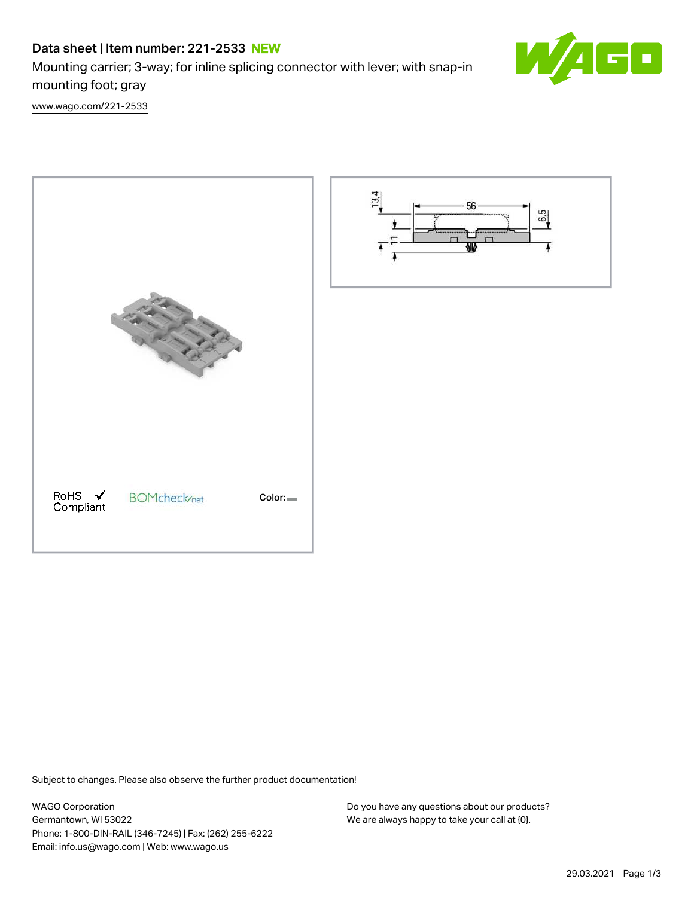# Data sheet | Item number: 221-2533 NEW

Mounting carrier; 3-way; for inline splicing connector with lever; with snap-in mounting foot; gray



[www.wago.com/221-2533](http://www.wago.com/221-2533)





Subject to changes. Please also observe the further product documentation!

WAGO Corporation Germantown, WI 53022 Phone: 1-800-DIN-RAIL (346-7245) | Fax: (262) 255-6222 Email: info.us@wago.com | Web: www.wago.us

Do you have any questions about our products? We are always happy to take your call at {0}.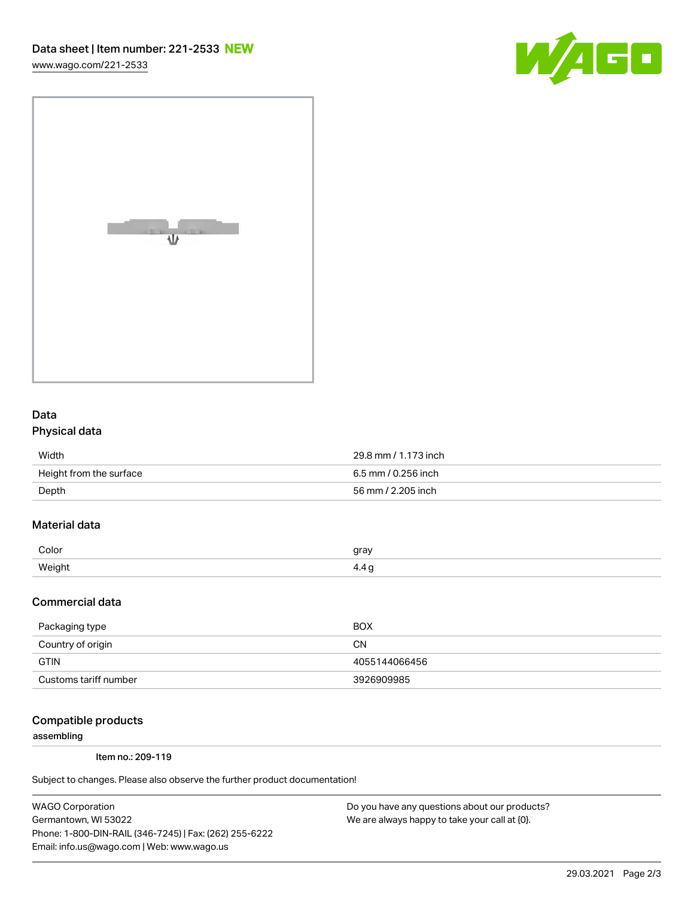[www.wago.com/221-2533](http://www.wago.com/221-2533)





### Data Physical data

| Width                   | 29.8 mm / 1.173 inch |
|-------------------------|----------------------|
| Height from the surface | 6.5 mm / 0.256 inch  |
| Depth                   | 56 mm / 2.205 inch   |

## Material data

| Color         | arov |
|---------------|------|
| <i>Mainhy</i> | . .  |

#### Commercial data

| Packaging type        | <b>BOX</b>    |
|-----------------------|---------------|
| Country of origin     | CΝ            |
| <b>GTIN</b>           | 4055144066456 |
| Customs tariff number | 3926909985    |

#### Compatible products

assembling

Item no.: 209-119

Subject to changes. Please also observe the further product documentation!

WAGO Corporation Germantown, WI 53022 Phone: 1-800-DIN-RAIL (346-7245) | Fax: (262) 255-6222 Email: info.us@wago.com | Web: www.wago.us

Do you have any questions about our products? We are always happy to take your call at {0}.